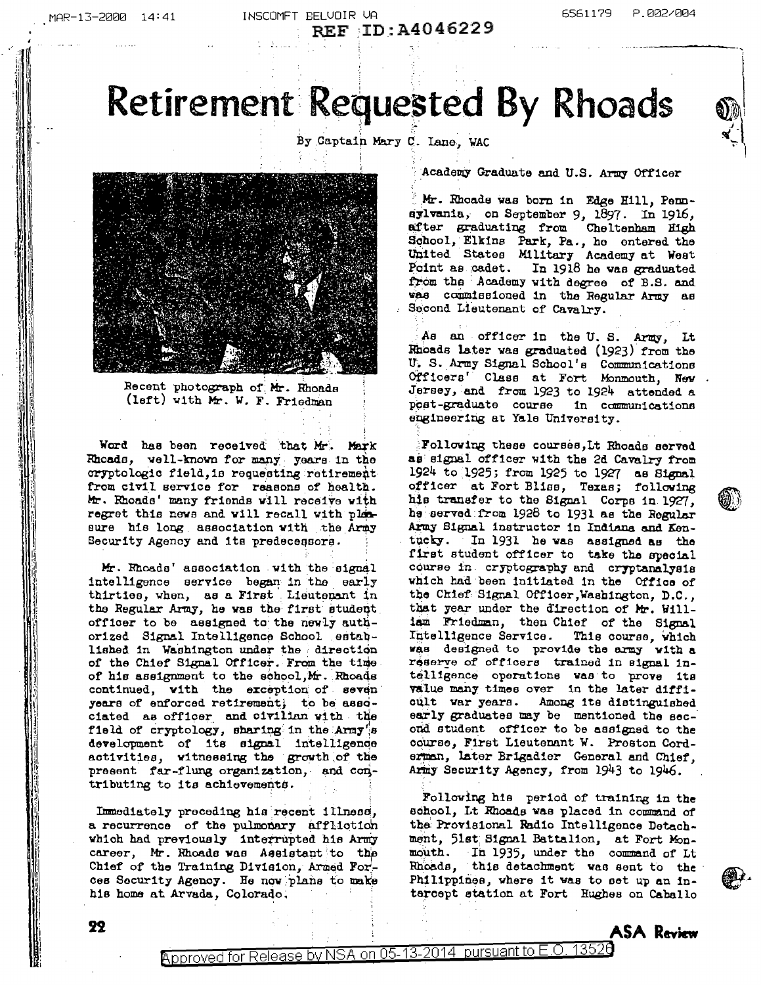INSCOMET BELUDIR UR REF : ID: A4046229

# Retirement Requested By Rhoads

By Captain Mary C. Lane, WAC



Recent photograph of Mr. Rhoads (left) with Mr. W. F. Friedman

Word has been received that Mr. Mark Rhoads, well-known for many years in the cryptologic field, is requesting retirement from civil service for reasons of health. Mr. Rhoads' many friends will receive with regret this news and will recall with plansure his long association with the Army Security Agency and its predecessors.

Mr. Rhoads' association with the signal intelligence service began in the early thirties, when, as a First Lieutenant in the Regular Army, he was the first student officer to be assigned to the newly authorized Signal Intelligence School established in Washington under the direction of the Chief Signal Officer. From the time of his assignment to the school, Mr. Rhoads continued, with the exception of seven years of enforced retirement; to be associated as officer and civilian with the field of cryptology, sharing in the Army's development of its signal intelligence activities, witnessing the growth of the present far-flung organization, and contributing to its achievements.

Immediately preceding his recent illness, a recurrence of the pulmonary affliction which had previously interrupted his Army career, Mr. Rhoads was Assistant to the Chief of the Training Division, Armed Forces Security Agency. He now plane to make his home at Arvada, Colorado.

22

Academy Graduate and U.S. Army Officer

Mr. Rhoads was born in Edge Hill, Pennsylvania, on September 9, 1897. In 1916, after graduating from Cheltenham High School, Elkins Park, Pa., he entered the United States Military Academy at West<br>Point as cadet. In 1918 he was graduated from the Academy with degree of B.S. and was commissioned in the Regular Army as Second Lieutenant of Cavalry.

As an officer in the U.S. Army, Lt Rhoads later was graduated (1923) from the U. S. Army Signal School's Communications Officers' Class at Fort Monmouth, New Jersey, and from 1923 to 1924 attended a post-graduate course in communications engineering at Yale University.

Following these courses, Lt Rhoads served as signal officer with the 2d Cavalry from 1924 to 1925; from 1925 to 1927 as Signal officer at Fort Bliss, Texas; following his transfer to the Signal Corps in 1927, he served from 1928 to 1931 as the Regular Army Signal instructor in Indiana and Kentucky. In 1931 he was assigned as the first student officer to take the special course in cryptography and cryptanalysis which had been initiated in the Office of the Chief Signal Officer, Washington, D.C., that year under the direction of Mr. William Friedman, then Chief of the Signal Intelligence Service. This course, which was designed to provide the army with a reserve of officers trained in signal intelligence operations was to prove its value many times over in the later diffioult war years. Among its distinguished early graduates may be mentioned the second student officer to be assigned to the course, First Lieutenant W. Preston Corderman, later Brigadier General and Chief, Army Security Agency, from 1943 to 1946.

Following his period of training in the school, Lt Khoads was placed in command of the Provisional Radio Intelligence Detachment, 51st Signal Battalion, at Fort Monmouth. In 1935, under the command of Lt Rhoads, this detachment was sent to the Philippines, where it was to set up an intarcept station at Fort Hughes on Caballo

ASA Review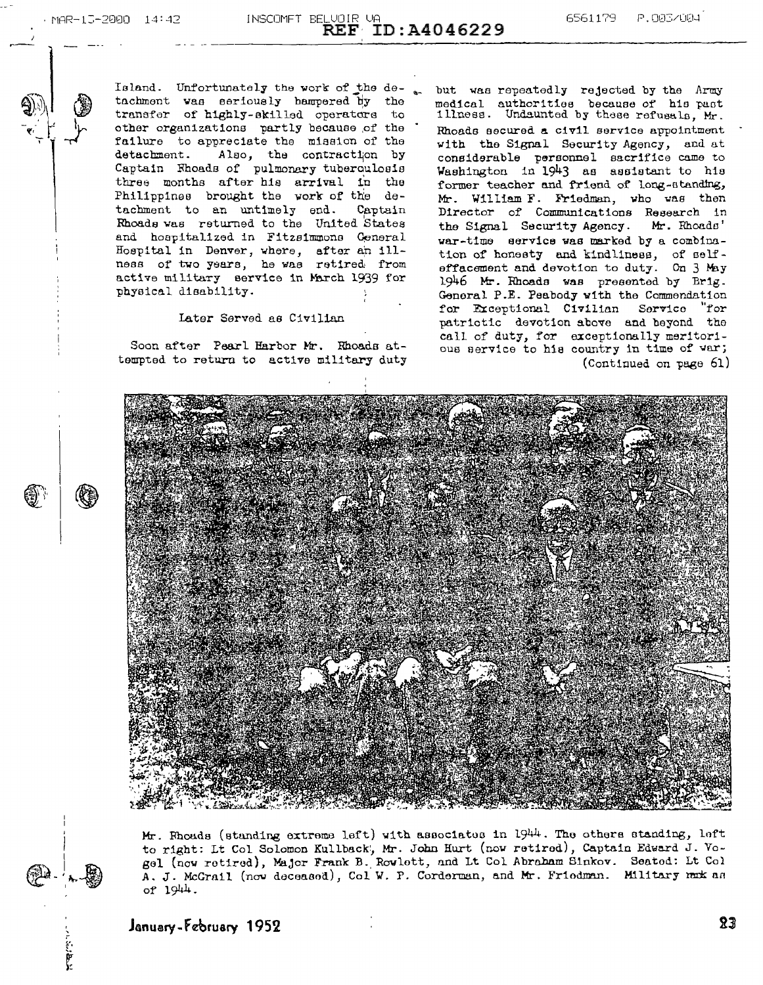Island. Unfortunately the work of the detachment was seriously hampered by the transfer of highly-skilled operators to other organizations partly because of the failure to appreciate the mission of the Also, the contraction by detachment. Captain Rhoads of pulmonary tuberculosis three months after his arrival in the Philippines brought the work of the detachment to an untimely end. Captain Rhoads was returned to the United States and hospitalized in Fitzsimmons Ceneral Hospital in Denver, where, after an illness of two years, he was retired from active military service in March 1939 for physical disability.

#### Later Served as Civilian

Soon after Pearl Harbor Mr. Rhoads attempted to return to active military duty

but was repeatedly rejected by the Army medical authorities because of his past illness. Undaunted by these refusals, Mr. Rhoads secured a civil service appointment with the Signal Security Agency, and at considerable personnel sacrifice came to Washington in 1943 as assistant to his former teacher and friend of long-standing, Mr. William F. Friedman, who was then Director of Communications Research in the Signal Security Agency. Mr. Rhoads' war-time service was marked by a combination of honesty and kindliness, of selfeffacement and devotion to duty. On 3 May 1946 Mr. Rhoads was presented by Brig. General P.E. Peabody with the Commendation for Exceptional Civilian Service "for patrictic devotion above and beyond the call of duty, for exceptionally meritorious service to his country in time of war; (Continued on page 61)



Mr. Rhouds (standing extreme left) with associates in 1944. The others standing, left to right: Lt Col Solomon Kullback, Mr. John Hurt (now retired), Captain Edward J. Vogel (now retired), Major Frank B. Rowlett, and Lt Col Abraham Sinkov. Seated: Lt Col A. J. McGrail (now deceased), Col W. P. Corderman, and Mr. Friedman. Military mak as of 1944.

January-February 1952

יין קרו<br>ג